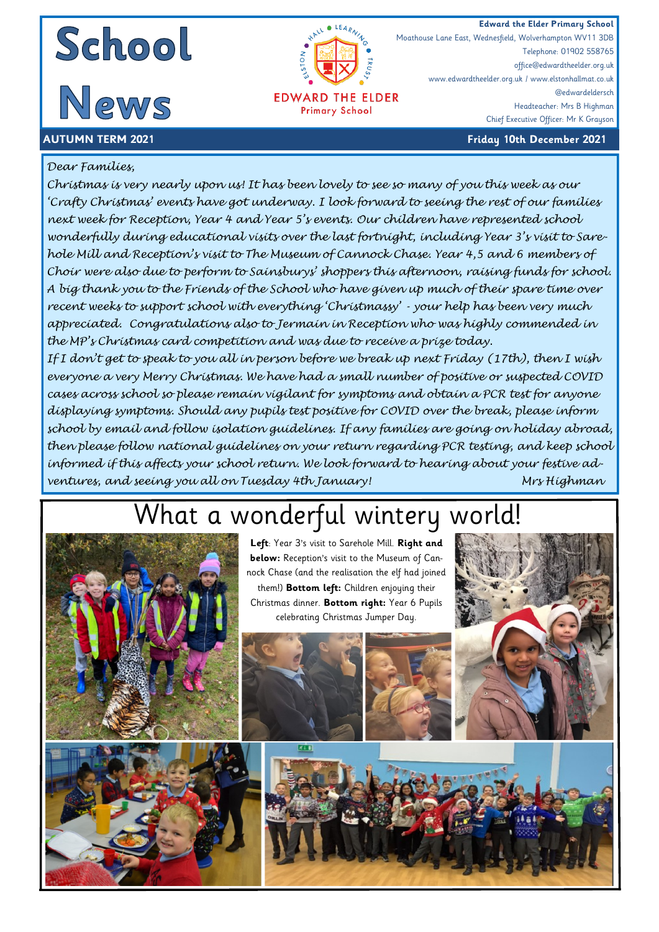





Telephone: 01902 558765 office@edwardtheelder.org.uk www.edwardtheelder.org.uk / www.elstonhallmat.co.uk @edwardeldersch Headteacher: Mrs B Highman Chief Executive Officer: Mr K Grayson

Moathouse Lane East, Wednesfield, Wolverhampton WV11 3DB

#### **AUTUMN TERM 2021 Friday 10th December 2021**

#### *Dear Families,*

*Christmas is very nearly upon us! It has been lovely to see so many of you this week as our 'Crafty Christmas' events have got underway. I look forward to seeing the rest of our families next week for Reception, Year 4 and Year 5's events. Our children have represented school wonderfully during educational visits over the last fortnight, including Year 3's visit to Sarehole Mill and Reception's visit to The Museum of Cannock Chase. Year 4,5 and 6 members of Choir were also due to perform to Sainsburys' shoppers this afternoon, raising funds for school. A big thank you to the Friends of the School who have given up much of their spare time over recent weeks to support school with everything 'Christmassy' - your help has been very much appreciated. Congratulations also to Jermain in Reception who was highly commended in the MP's Christmas card competition and was due to receive a prize today.*

*If I don't get to speak to you all in person before we break up next Friday (17th), then I wish everyone a very Merry Christmas. We have had a small number of positive or suspected COVID cases across school so please remain vigilant for symptoms and obtain a PCR test for anyone displaying symptoms. Should any pupils test positive for COVID over the break, please inform school by email and follow isolation guidelines. If any families are going on holiday abroad, then please follow national guidelines on your return regarding PCR testing, and keep school informed if this affects your school return. We look forward to hearing about your festive adventures, and seeing you all on Tuesday 4th January! Mrs Highman* 

# What a wonderful wintery world!